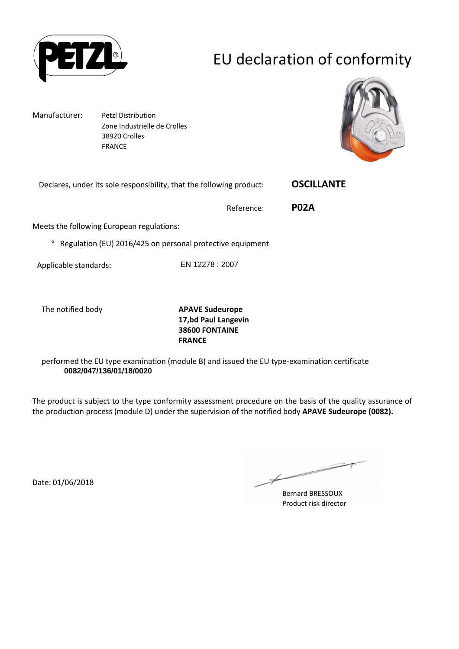

# EU declaration of conformity

Manufacturer: Petzl Distribution Zone Industrielle de Crolles 38920 Crolles FRANCE



Declares, under its sole responsibility, that the following product: **OSCILLANTE** 

Reference: **P02A**

Meets the following European regulations:

° Regulation (EU) 2016/425 on personal protective equipment

Applicable standards: EN 12278 : 2007

The notified body **APAVE Sudeurope 17,bd Paul Langevin 38600 FONTAINE FRANCE**

performed the EU type examination (module B) and issued the EU type-examination certificate **0082/047/136/01/18/0020**

The product is subject to the type conformity assessment procedure on the basis of the quality assurance of the production process (module D) under the supervision of the notified body **APAVE Sudeurope (0082).**

Date: 01/06/2018

Bernard BRESSOUX Product risk director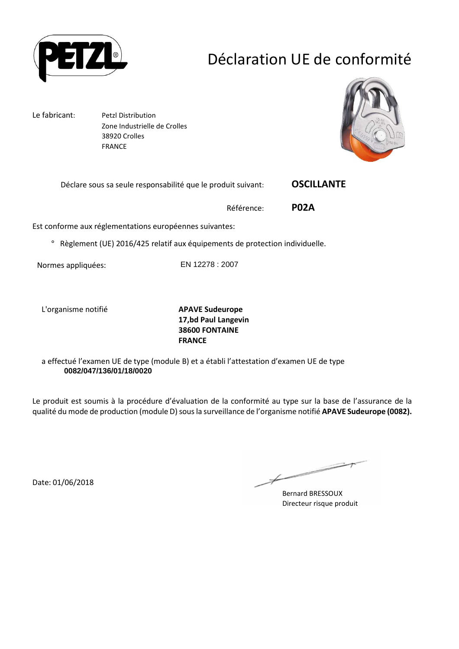

## Déclaration UE de conformité

Le fabricant: Petzl Distribution Zone Industrielle de Crolles 38920 Crolles FRANCE



Déclare sous sa seule responsabilité que le produit suivant: **OSCILLANTE** 

Référence: **P02A**

Est conforme aux réglementations européennes suivantes:

° Règlement (UE) 2016/425 relatif aux équipements de protection individuelle.

Normes appliquées: EN 12278 : 2007

L'organisme notifié **APAVE Sudeurope**

**17,bd Paul Langevin 38600 FONTAINE FRANCE**

a effectué l'examen UE de type (module B) et a établi l'attestation d'examen UE de type **0082/047/136/01/18/0020**

Le produit est soumis à la procédure d'évaluation de la conformité au type sur la base de l'assurance de la qualité du mode de production (module D) sous la surveillance de l'organisme notifié **APAVE Sudeurope (0082).**

Date: 01/06/2018

Bernard BRESSOUX Directeur risque produit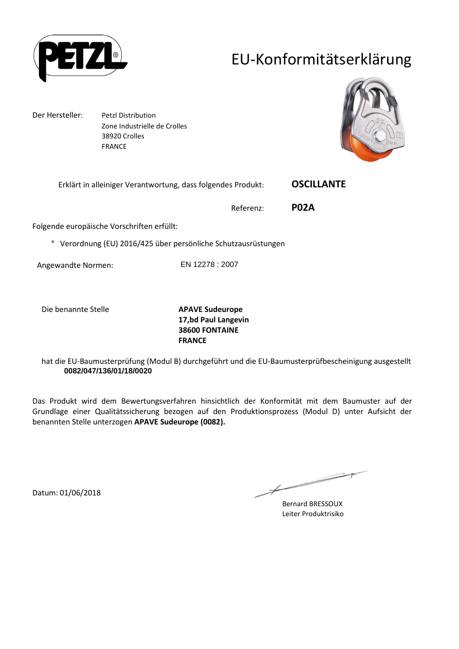

## EU-Konformitätserklärung

Der Hersteller: Petzl Distribution Zone Industrielle de Crolles 38920 Crolles FRANCE



Erklärt in alleiniger Verantwortung, dass folgendes Produkt: **OSCILLANTE** 

Referenz: **P02A**

Folgende europäische Vorschriften erfüllt:

° Verordnung (EU) 2016/425 über persönliche Schutzausrüstungen

Angewandte Normen: EN 12278 : 2007

Die benannte Stelle **APAVE Sudeurope**

**17,bd Paul Langevin 38600 FONTAINE FRANCE**

hat die EU-Baumusterprüfung (Modul B) durchgeführt und die EU-Baumusterprüfbescheinigung ausgestellt **0082/047/136/01/18/0020**

Das Produkt wird dem Bewertungsverfahren hinsichtlich der Konformität mit dem Baumuster auf der Grundlage einer Qualitätssicherung bezogen auf den Produktionsprozess (Modul D) unter Aufsicht der benannten Stelle unterzogen **APAVE Sudeurope (0082).**

 $\overline{\phantom{a}}$  $\not\!\!\!\!/$ 

Bernard BRESSOUX Leiter Produktrisiko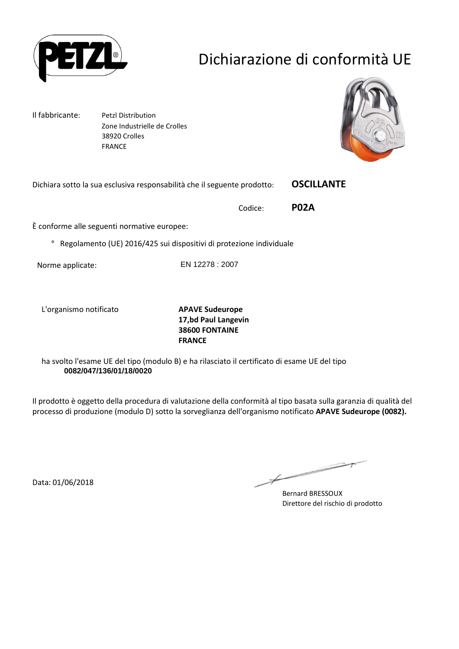

# Dichiarazione di conformità UE

Il fabbricante: Petzl Distribution Zone Industrielle de Crolles 38920 Crolles FRANCE



Dichiara sotto la sua esclusiva responsabilità che il seguente prodotto: **OSCILLANTE** 

Codice: **P02A**

È conforme alle seguenti normative europee:

° Regolamento (UE) 2016/425 sui dispositivi di protezione individuale

Norme applicate: EN 12278 : 2007

L'organismo notificato **APAVE Sudeurope**

**17,bd Paul Langevin 38600 FONTAINE FRANCE**

ha svolto l'esame UE del tipo (modulo B) e ha rilasciato il certificato di esame UE del tipo **0082/047/136/01/18/0020**

Il prodotto è oggetto della procedura di valutazione della conformità al tipo basata sulla garanzia di qualità del processo di produzione (modulo D) sotto la sorveglianza dell'organismo notificato **APAVE Sudeurope (0082).**

Data: 01/06/2018

Bernard BRESSOUX Direttore del rischio di prodotto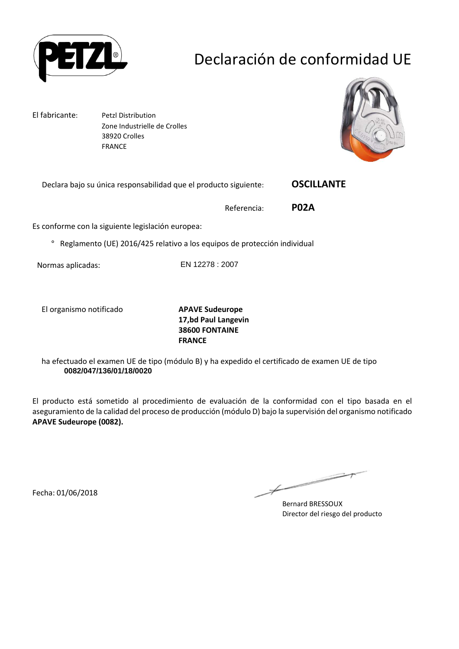

# Declaración de conformidad UE

El fabricante: Petzl Distribution Zone Industrielle de Crolles 38920 Crolles FRANCE



Declara bajo su única responsabilidad que el producto siguiente: **OSCILLANTE** 

Referencia: **P02A**

Es conforme con la siguiente legislación europea:

° Reglamento (UE) 2016/425 relativo a los equipos de protección individual

Normas aplicadas: EN 12278 : 2007

El organismo notificado **APAVE Sudeurope**

**17,bd Paul Langevin 38600 FONTAINE FRANCE**

ha efectuado el examen UE de tipo (módulo B) y ha expedido el certificado de examen UE de tipo **0082/047/136/01/18/0020**

El producto está sometido al procedimiento de evaluación de la conformidad con el tipo basada en el aseguramiento de la calidad del proceso de producción (módulo D) bajo la supervisión del organismo notificado **APAVE Sudeurope (0082).**

Fecha: 01/06/2018

二  $\not\!\!\!/-$ 

Bernard BRESSOUX Director del riesgo del producto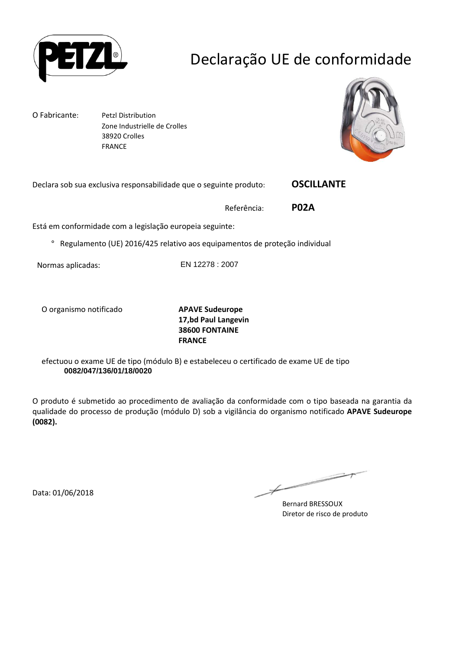

# Declaração UE de conformidade

O Fabricante: Petzl Distribution

 Zone Industrielle de Crolles 38920 Crolles FRANCE



Declara sob sua exclusiva responsabilidade que o seguinte produto: **OSCILLANTE** 

Referência: **P02A**

Está em conformidade com a legislação europeia seguinte:

° Regulamento (UE) 2016/425 relativo aos equipamentos de proteção individual

Normas aplicadas: EN 12278 : 2007

O organismo notificado **APAVE Sudeurope**

**17,bd Paul Langevin 38600 FONTAINE FRANCE**

efectuou o exame UE de tipo (módulo B) e estabeleceu o certificado de exame UE de tipo **0082/047/136/01/18/0020**

O produto é submetido ao procedimento de avaliação da conformidade com o tipo baseada na garantia da qualidade do processo de produção (módulo D) sob a vigilância do organismo notificado **APAVE Sudeurope (0082).**

Data: 01/06/2018

一  $\not\!\!\!-\!\!\!-\!\!\!-$ 

Bernard BRESSOUX Diretor de risco de produto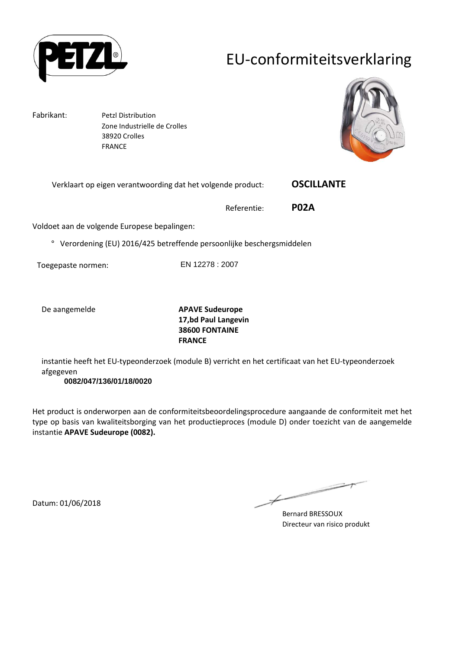

## EU-conformiteitsverklaring

Fabrikant: Petzl Distribution Zone Industrielle de Crolles 38920 Crolles FRANCE



Verklaart op eigen verantwoording dat het volgende product: **OSCILLANTE** 

Referentie: **P02A**

Voldoet aan de volgende Europese bepalingen:

° Verordening (EU) 2016/425 betreffende persoonlijke beschergsmiddelen

Toegepaste normen: EN 12278 : 2007

De aangemelde **APAVE Sudeurope 17,bd Paul Langevin 38600 FONTAINE FRANCE**

instantie heeft het EU-typeonderzoek (module B) verricht en het certificaat van het EU-typeonderzoek afgegeven

**0082/047/136/01/18/0020**

Het product is onderworpen aan de conformiteitsbeoordelingsprocedure aangaande de conformiteit met het type op basis van kwaliteitsborging van het productieproces (module D) onder toezicht van de aangemelde instantie **APAVE Sudeurope (0082).**

 $\overline{\phantom{a}}$ 

Bernard BRESSOUX Directeur van risico produkt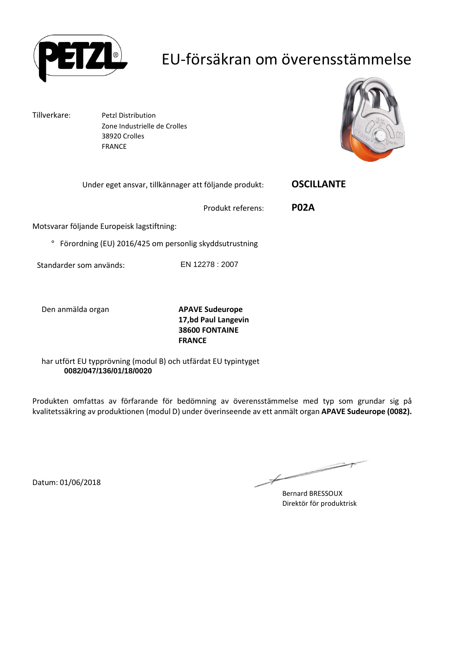

## EU-försäkran om överensstämmelse

Tillverkare: Petzl Distribution Zone Industrielle de Crolles 38920 Crolles FRANCE



| Under eget ansvar, tillkännager att följande produkt: | <b>OSCILLANTE</b> |
|-------------------------------------------------------|-------------------|
|                                                       |                   |

Produkt referens: **P02A**

Motsvarar följande Europeisk lagstiftning:

° Förordning (EU) 2016/425 om personlig skyddsutrustning

Standarder som används: EN 12278 : 2007

Den anmälda organ **APAVE Sudeurope**

**17,bd Paul Langevin 38600 FONTAINE FRANCE**

har utfört EU typprövning (modul B) och utfärdat EU typintyget **0082/047/136/01/18/0020**

Produkten omfattas av förfarande för bedömning av överensstämmelse med typ som grundar sig på kvalitetssäkring av produktionen (modul D) under överinseende av ett anmält organ **APAVE Sudeurope (0082).**

Bernard BRESSOUX Direktör för produktrisk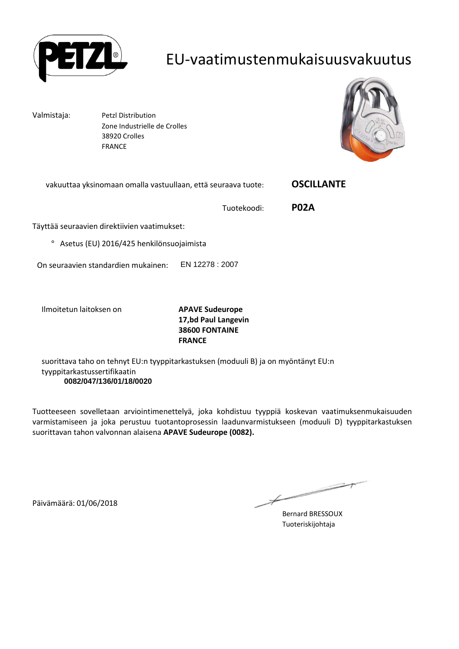

#### EU-vaatimustenmukaisuusvakuutus

Valmistaja: Petzl Distribution Zone Industrielle de Crolles 38920 Crolles FRANCE



| vakuuttaa yksinomaan omalla vastuullaan, että seuraava tuote: |                 | <b>OSCILLANTE</b> |
|---------------------------------------------------------------|-----------------|-------------------|
|                                                               | Tuotekoodi:     | <b>P02A</b>       |
| Täyttää seuraavien direktiivien vaatimukset:                  |                 |                   |
| Asetus (EU) 2016/425 henkilönsuojaimista<br>$\circ$           |                 |                   |
| On seuraavien standardien mukainen:                           | EN 12278 : 2007 |                   |
| امم موميام+نط مساحطتم موالا                                   | ADAVE Cudewang  |                   |

Ilmoitetun laitoksen on **APAVE Sudeurope**

**17,bd Paul Langevin 38600 FONTAINE FRANCE**

suorittava taho on tehnyt EU:n tyyppitarkastuksen (moduuli B) ja on myöntänyt EU:n tyyppitarkastussertifikaatin **0082/047/136/01/18/0020**

Tuotteeseen sovelletaan arviointimenettelyä, joka kohdistuu tyyppiä koskevan vaatimuksenmukaisuuden varmistamiseen ja joka perustuu tuotantoprosessin laadunvarmistukseen (moduuli D) tyyppitarkastuksen suorittavan tahon valvonnan alaisena **APAVE Sudeurope (0082).**

Päivämäärä: 01/06/2018

 $\overline{\phantom{a}}$ 

Bernard BRESSOUX Tuoteriskijohtaja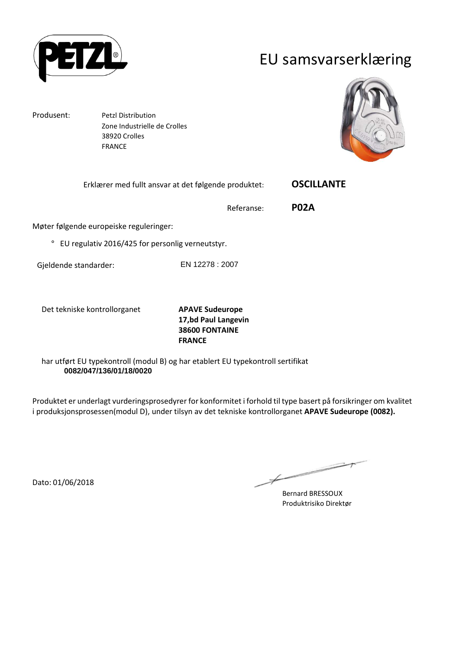

#### EU samsvarserklæring

Produsent: Petzl Distribution Zone Industrielle de Crolles 38920 Crolles FRANCE



Erklærer med fullt ansvar at det følgende produktet: **OSCILLANTE** 

Referanse: **P02A**

Møter følgende europeiske reguleringer:

° EU regulativ 2016/425 for personlig verneutstyr.

Gjeldende standarder: EN 12278 : 2007

Det tekniske kontrollorganet **APAVE Sudeurope**

**17,bd Paul Langevin 38600 FONTAINE FRANCE**

har utført EU typekontroll (modul B) og har etablert EU typekontroll sertifikat **0082/047/136/01/18/0020**

Produktet er underlagt vurderingsprosedyrer for konformitet i forhold til type basert på forsikringer om kvalitet i produksjonsprosessen(modul D), under tilsyn av det tekniske kontrollorganet **APAVE Sudeurope (0082).**

Dato: 01/06/2018

Bernard BRESSOUX Produktrisiko Direktør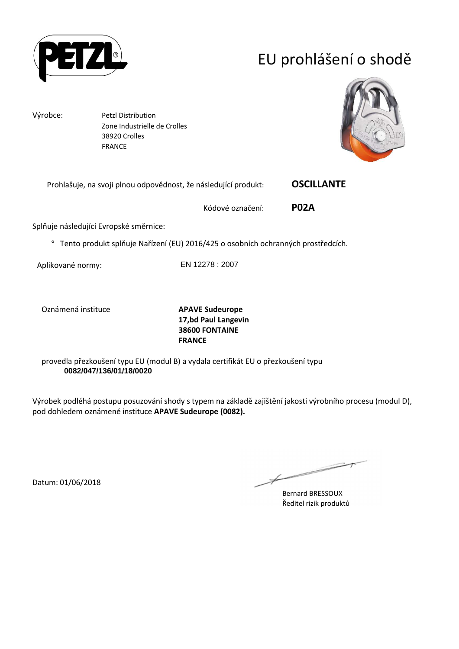

# EU prohlášení o shodě

Výrobce: Petzl Distribution Zone Industrielle de Crolles 38920 Crolles FRANCE



| Prohlašuje, na svoji plnou odpovědnost, že následující produkt: |  | <b>OSCILLANTE</b> |
|-----------------------------------------------------------------|--|-------------------|
|-----------------------------------------------------------------|--|-------------------|

Kódové označení: **P02A**

Splňuje následující Evropské směrnice:

° Tento produkt splňuje Nařízení (EU) 2016/425 o osobních ochranných prostředcích.

Aplikované normy: EN 12278 : 2007

Oznámená instituce **APAVE Sudeurope**

**17,bd Paul Langevin 38600 FONTAINE FRANCE**

provedla přezkoušení typu EU (modul B) a vydala certifikát EU o přezkoušení typu **0082/047/136/01/18/0020**

Výrobek podléhá postupu posuzování shody s typem na základě zajištění jakosti výrobního procesu (modul D), pod dohledem oznámené instituce **APAVE Sudeurope (0082).**

Bernard BRESSOUX Ředitel rizik produktů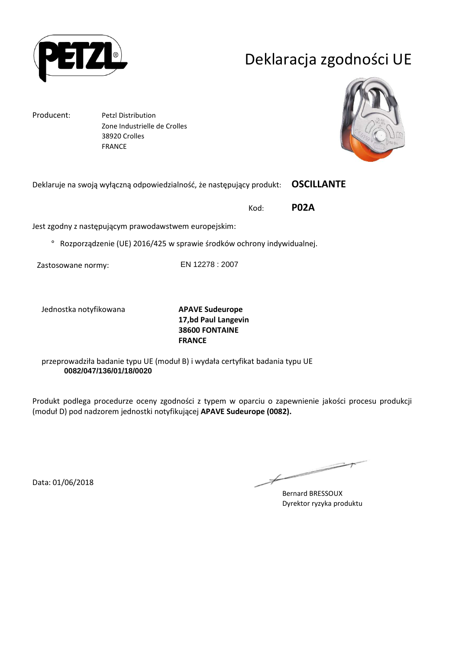

# Deklaracja zgodności UE

Producent: Petzl Distribution Zone Industrielle de Crolles 38920 Crolles FRANCE



Deklaruje na swoją wyłączną odpowiedzialność, że następujący produkt: **OSCILLANTE** 

Kod: **P02A**

Jest zgodny z następującym prawodawstwem europejskim:

° Rozporządzenie (UE) 2016/425 w sprawie środków ochrony indywidualnej.

Zastosowane normy: EN 12278 : 2007

Jednostka notyfikowana **APAVE Sudeurope**

**17,bd Paul Langevin 38600 FONTAINE FRANCE**

przeprowadziła badanie typu UE (moduł B) i wydała certyfikat badania typu UE **0082/047/136/01/18/0020**

Produkt podlega procedurze oceny zgodności z typem w oparciu o zapewnienie jakości procesu produkcji (moduł D) pod nadzorem jednostki notyfikującej **APAVE Sudeurope (0082).**

Data: 01/06/2018

Bernard BRESSOUX Dyrektor ryzyka produktu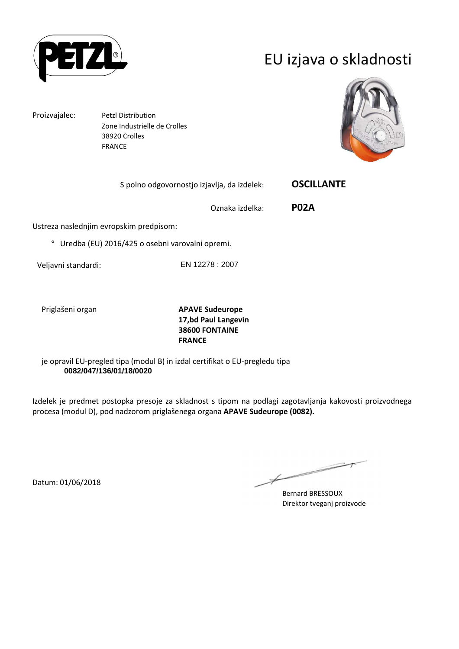

## EU izjava o skladnosti

Proizvajalec: Petzl Distribution

 Zone Industrielle de Crolles 38920 Crolles FRANCE



S polno odgovornostjo izjavlja, da izdelek: **OSCILLANTE** 

Oznaka izdelka: **P02A**

Ustreza naslednjim evropskim predpisom:

° Uredba (EU) 2016/425 o osebni varovalni opremi.

Veljavni standardi: EN 12278 : 2007

Priglašeni organ **APAVE Sudeurope 17,bd Paul Langevin 38600 FONTAINE FRANCE**

je opravil EU-pregled tipa (modul B) in izdal certifikat o EU-pregledu tipa **0082/047/136/01/18/0020**

Izdelek je predmet postopka presoje za skladnost s tipom na podlagi zagotavljanja kakovosti proizvodnega procesa (modul D), pod nadzorom priglašenega organa **APAVE Sudeurope (0082).**

Bernard BRESSOUX Direktor tveganj proizvode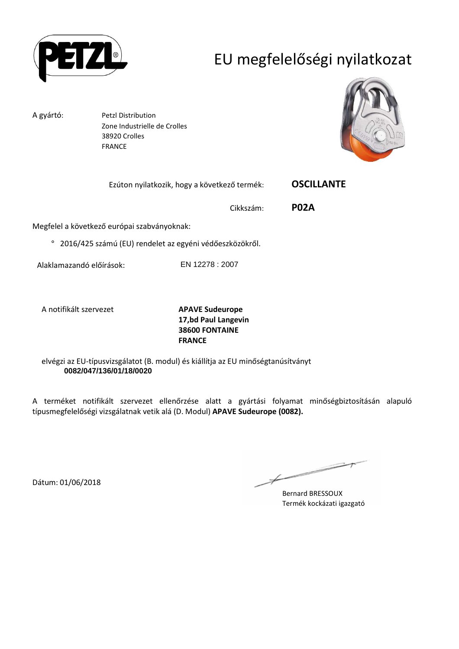

# EU megfelelőségi nyilatkozat

A gyártó: Petzl Distribution Zone Industrielle de Crolles 38920 Crolles FRANCE



| Ezúton nyilatkozik, hogy a következő termék: | <b>OSCILLANTE</b> |
|----------------------------------------------|-------------------|
|----------------------------------------------|-------------------|

Cikkszám: **P02A**

Megfelel a következő európai szabványoknak:

° 2016/425 számú (EU) rendelet az egyéni védőeszközökről.

Alaklamazandó előírások: EN 12278 : 2007

A notifikált szervezet **APAVE Sudeurope**

**17,bd Paul Langevin 38600 FONTAINE FRANCE**

elvégzi az EU-típusvizsgálatot (B. modul) és kiállítja az EU minőségtanúsítványt **0082/047/136/01/18/0020**

A terméket notifikált szervezet ellenőrzése alatt a gyártási folyamat minőségbiztosításán alapuló típusmegfelelőségi vizsgálatnak vetik alá (D. Modul) **APAVE Sudeurope (0082).**

Bernard BRESSOUX Termék kockázati igazgató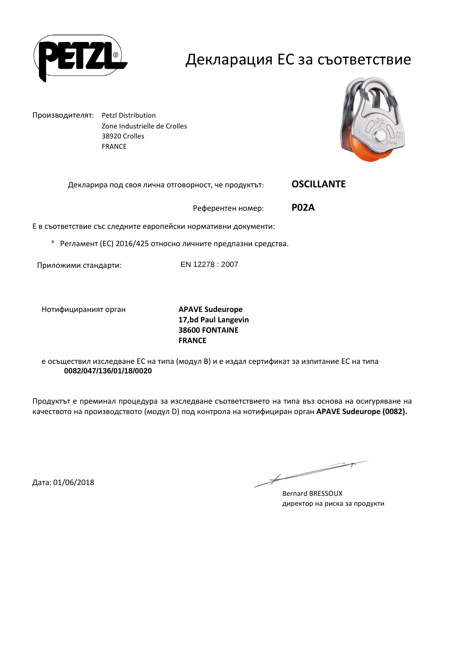

#### Декларация ЕС за съответствие

Производителят: Petzl Distribution Zone Industrielle de Crolles 38920 Crolles FRANCE



Декларира под своя лична отговорност, че продуктът: **OSCILLANTE** 

Референтен номер: **P02A**

Е в съответствие със следните европейски нормативни документи:

° Регламент (ЕС) 2016/425 относно личните предпазни средства.

Приложими стандарти: EN 12278 : 2007

Нотифицираният орган **APAVE Sudeurope**

**17,bd Paul Langevin 38600 FONTAINE FRANCE**

е осъществил изследване ЕС на типа (модул В) и е издал сертификат за изпитание ЕС на типа **0082/047/136/01/18/0020**

Продуктът е преминал процедура за изследване съответствието на типа въз основа на осигуряване на качеството на производството (модул D) под контрола на нотифициран орган **APAVE Sudeurope (0082).**

Дата: 01/06/2018

Bernard BRESSOUX директор на риска за продукти